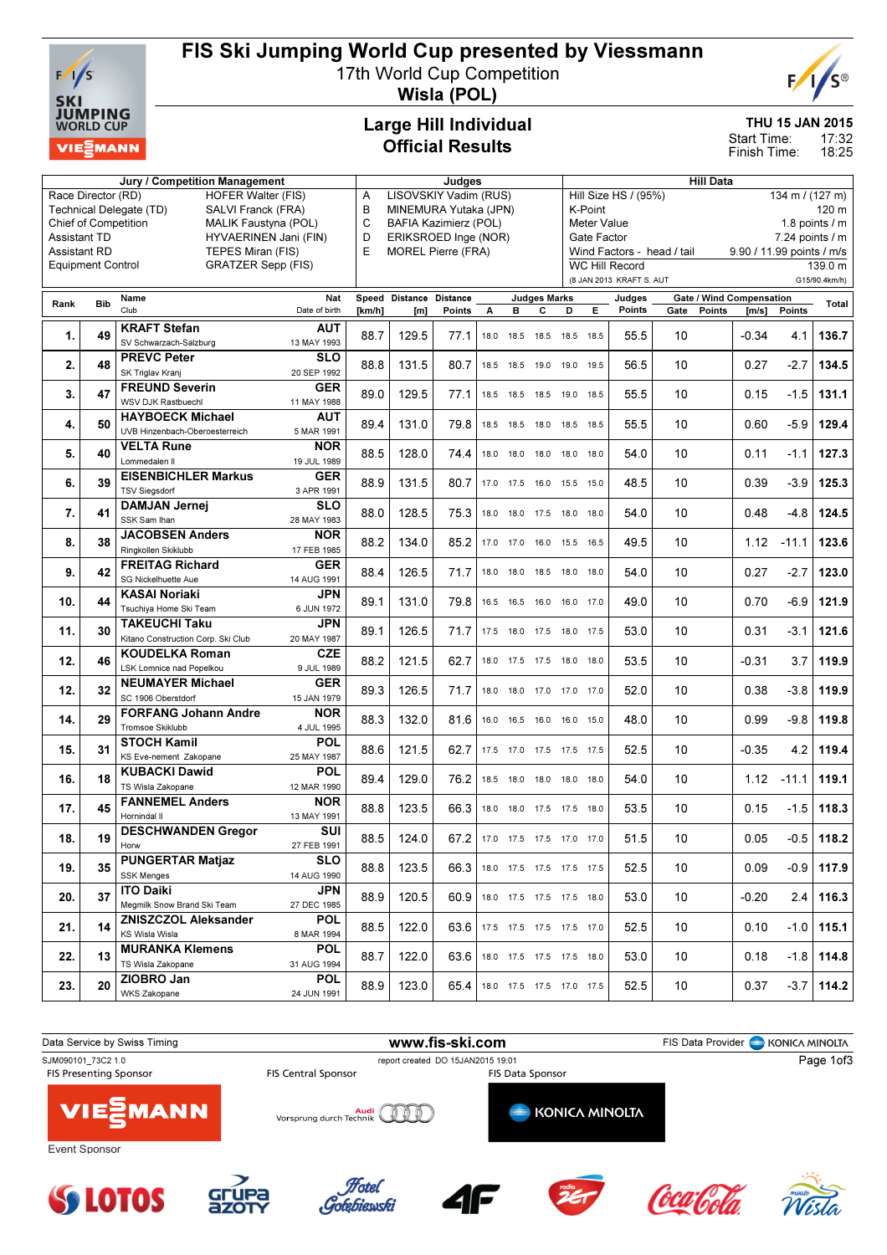

# FIS Ski Jumping World Cup presented by Viessmann

17th World Cup Competition



Wisla (POL)

### Large Hill Individual Official Results

#### THU 15 JAN 2015

17:32 Start Time:

18:25 Finish Time:

| <b>HOFER Walter (FIS)</b><br>LISOVSKIY Vadim (RUS)<br>Race Director (RD)<br>Α<br>MINEMURA Yutaka (JPN)<br>Technical Delegate (TD)<br>SALVI Franck (FRA)<br>в<br>K-Point<br>120 m<br>C<br>1.8 points $/m$<br>Chief of Competition<br>MALIK Faustyna (POL)<br><b>BAFIA Kazimierz (POL)</b><br>Meter Value<br><b>Assistant TD</b><br>HYVAERINEN Jani (FIN)<br>D<br>ERIKSROED Inge (NOR)<br>Gate Factor<br>$7.24$ points $/ m$<br>E<br><b>Assistant RD</b><br>TEPES Miran (FIS)<br><b>MOREL Pierre (FRA)</b><br>Wind Factors - head / tail<br>9.90 / 11.99 points / m/s<br><b>Equipment Control</b><br><b>GRATZER Sepp (FIS)</b><br><b>WC Hill Record</b><br>139.0 m<br>(8 JAN 2013 KRAFT S. AUT<br>G15/90.4km/h)<br><b>Gate / Wind Compensation</b><br>Speed Distance Distance<br><b>Judges Marks</b><br>Name<br>Nat<br>Judges<br><b>Bib</b><br>Rank<br>Total<br>Club<br>E<br>Points<br>Date of birth<br>A<br>D<br>Gate<br><b>Points</b><br>Points<br>[km/h]<br>[m]<br>Points<br>в<br>С<br>[m/s]<br><b>KRAFT Stefan</b><br><b>AUT</b><br>$\mathbf{1}$ .<br>88.7<br>129.5<br>10<br>136.7<br>49<br>77.1<br>55.5<br>$-0.34$<br>4.1<br>18.0 18.5 18.5 18.5 18.5<br>SV Schwarzach-Salzburg<br>13 MAY 1993<br><b>PREVC Peter</b><br><b>SLO</b><br>2.<br>48<br>88.8<br>131.5<br>$-2.7$<br>134.5<br>80.7<br>56.5<br>10<br>0.27<br>18.5 18.5 19.0 19.0 19.5<br>SK Triglav Krani<br>20 SEP 1992<br><b>FREUND Severin</b><br><b>GER</b><br>89.0<br>129.5<br>10<br>$-1.5$<br>131.1<br>3.<br>47<br>77.1<br>55.5<br>0.15<br>18.5 18.5<br>18.5 19.0 18.5<br>WSV DJK Rastbuechl<br>11 MAY 1988<br><b>HAYBOECK Michael</b><br>AUT<br>89.4<br>131.0<br>10<br>-5.9<br>129.4<br>4.<br>50<br>79.8<br>55.5<br>0.60<br>18.5 18.5<br>18.0 18.5 18.5<br>UVB Hinzenbach-Oberoesterreich<br>5 MAR 1991<br><b>VELTA Rune</b><br><b>NOR</b><br>5.<br>88.5<br>128.0<br>10<br>$-1.1$<br>127.3<br>40<br>74.4<br>54.0<br>0.11<br>18.0 18.0 18.0 18.0 18.0<br>Lommedalen II<br>19 JUL 1989<br><b>EISENBICHLER Markus</b><br><b>GER</b><br>6.<br>88.9<br>131.5<br>10<br>125.3<br>39<br>80.7<br>48.5<br>0.39<br>$-3.9$<br>16.0 15.5 15.0<br>17.0 17.5<br><b>TSV Siegsdorf</b><br>3 APR 1991<br><b>DAMJAN Jernei</b><br><b>SLO</b><br>7.<br>88.0<br>128.5<br>10<br>-4.8<br>124.5<br>41<br>75.3<br>54.0<br>0.48<br>18.0 18.0 17.5 18.0 18.0<br>SSK Sam Ihan<br>28 MAY 1983<br><b>JACOBSEN Anders</b><br><b>NOR</b><br>8.<br>88.2<br>134.0<br>10<br>1.12<br>123.6<br>38<br>85.2<br>49.5<br>$-11.1$<br>17.0 17.0 16.0 15.5 16.5<br>Ringkollen Skiklubb<br>17 FEB 1985<br><b>FREITAG Richard</b><br><b>GER</b><br>9.<br>42<br>88.4<br>126.5<br>10<br>0.27<br>$-2.7$<br>123.0<br>71.7<br>54.0<br>18.0 18.0 18.5 18.0 18.0<br>SG Nickelhuette Aue<br>14 AUG 1991<br><b>JPN</b><br>KASAI Noriaki<br>121.9<br>44<br>89.1<br>131.0<br>79.8<br>10<br>0.70<br>$-6.9$<br>10.<br>49.0<br>16.5 16.5<br>16.0 16.0 17.0<br>Tsuchiya Home Ski Team<br>6 JUN 1972<br><b>TAKEUCHI Taku</b><br>JPN<br>11.<br>30<br>121.6<br>89.1<br>126.5<br>71.7<br>53.0<br>10<br>0.31<br>-3.1<br>17.5 18.0 17.5 18.0 17.5<br>Kitano Construction Corp. Ski Club<br>20 MAY 1987<br><b>KOUDELKA Roman</b><br><b>CZE</b><br>88.2<br>10<br>3.7<br>119.9<br>12.<br>46<br>121.5<br>62.7<br>53.5<br>$-0.31$<br>18.0 17.5 17.5 18.0<br>18.0<br>LSK Lomnice nad Popelkou<br>9 JUL 1989<br><b>GER</b><br><b>NEUMAYER Michael</b><br>12.<br>126.5<br>119.9<br>32<br>89.3<br>71.7<br>52.0<br>10<br>0.38<br>$-3.8$<br>18.0 18.0<br>17.0 17.0 17.0<br>SC 1906 Oberstdorf<br>15 JAN 1979<br><b>FORFANG Johann Andre</b><br><b>NOR</b><br>14.<br>88.3<br>132.0<br>10<br>$-9.8$<br>119.8<br>29<br>81.6<br>48.0<br>0.99<br>16.0  16.5  16.0  16.0  15.0<br>Tromsoe Skiklubb<br>4 JUL 1995<br><b>STOCH Kamil</b><br>POL<br>88.6<br>$-0.35$<br>4.2<br>119.4<br>15.<br>31<br>121.5<br>62.7<br>52.5<br>10<br>17.5 17.0 17.5 17.5 17.5<br>KS Eve-nement Zakopane<br>25 MAY 1987<br><b>POL</b><br><b>KUBACKI Dawid</b><br>129.0<br>10<br>1.12<br>119.1<br>16.<br>18<br>89.4<br>76.2<br>54.0<br>$-11.1$<br>18.5 18.0<br>18.0 18.0 18.0<br>TS Wisla Zakopane<br>12 MAR 1990<br><b>FANNEMEL Anders</b><br><b>NOR</b><br>88.8<br>123.5<br>10<br>$-1.5$<br>118.3<br>17.<br>45<br>66.3<br>53.5<br>0.15<br>18.0 18.0 17.5 17.5 18.0<br>Hornindal II<br>13 MAY 1991<br>SUI<br><b>DESCHWANDEN Gregor</b><br>18.<br>19<br>88.5<br>124.0<br>67.2<br>51.5<br>$-0.5$<br>118.2<br>10<br>0.05<br>17.0  17.5  17.5  17.0  17.0<br>Horw<br>27 FEB 1991<br><b>PUNGERTAR Matjaz</b><br><b>SLO</b><br>117.9<br>19.<br>88.8<br>123.5<br>52.5<br>10<br>0.09<br>-0.9  <br>35<br>66.3<br>18.0 17.5 17.5 17.5 17.5<br><b>SSK Menges</b><br>14 AUG 1990<br><b>ITO Daiki</b><br>JPN<br>10<br>116.3<br>20.<br>37<br>88.9<br>120.5<br>60.9<br>53.0<br>$-0.20$<br>2.4<br>18.0 17.5 17.5 17.5 18.0<br>Megmilk Snow Brand Ski Team<br>27 DEC 1985<br><b>ZNISZCZOL Aleksander</b><br><b>POL</b><br>88.5<br>122.0<br>115.1<br>21.<br>63.6<br>52.5<br>10<br>0.10<br>-1.0<br>14<br>17.5 17.5 17.5 17.5 17.0<br>KS Wisla Wisla<br>8 MAR 1994<br><b>MURANKA Klemens</b><br><b>POL</b><br>22.<br>88.7<br>122.0<br>$-1.8$<br>114.8<br>13<br>63.6<br>53.0<br>10<br>0.18<br>18.0 17.5 17.5 17.5 18.0<br>TS Wisla Zakopane<br>31 AUG 1994<br>ZIOBRO Jan<br><b>POL</b><br>123.0<br>114.2<br>23.<br>88.9<br>65.4<br>52.5<br>10<br>0.37<br>$-3.7$<br>20<br>18.0 17.5 17.5 17.0 17.5<br>WKS Zakopane<br>24 JUN 1991 |  |  | Jury / Competition Management | <b>Hill Data</b><br>Judges |  |  |  |  |  |                                           |  |  |  |  |  |  |  |  |
|--------------------------------------------------------------------------------------------------------------------------------------------------------------------------------------------------------------------------------------------------------------------------------------------------------------------------------------------------------------------------------------------------------------------------------------------------------------------------------------------------------------------------------------------------------------------------------------------------------------------------------------------------------------------------------------------------------------------------------------------------------------------------------------------------------------------------------------------------------------------------------------------------------------------------------------------------------------------------------------------------------------------------------------------------------------------------------------------------------------------------------------------------------------------------------------------------------------------------------------------------------------------------------------------------------------------------------------------------------------------------------------------------------------------------------------------------------------------------------------------------------------------------------------------------------------------------------------------------------------------------------------------------------------------------------------------------------------------------------------------------------------------------------------------------------------------------------------------------------------------------------------------------------------------------------------------------------------------------------------------------------------------------------------------------------------------------------------------------------------------------------------------------------------------------------------------------------------------------------------------------------------------------------------------------------------------------------------------------------------------------------------------------------------------------------------------------------------------------------------------------------------------------------------------------------------------------------------------------------------------------------------------------------------------------------------------------------------------------------------------------------------------------------------------------------------------------------------------------------------------------------------------------------------------------------------------------------------------------------------------------------------------------------------------------------------------------------------------------------------------------------------------------------------------------------------------------------------------------------------------------------------------------------------------------------------------------------------------------------------------------------------------------------------------------------------------------------------------------------------------------------------------------------------------------------------------------------------------------------------------------------------------------------------------------------------------------------------------------------------------------------------------------------------------------------------------------------------------------------------------------------------------------------------------------------------------------------------------------------------------------------------------------------------------------------------------------------------------------------------------------------------------------------------------------------------------------------------------------------------------------------------------------------------------------------------------------------------------------------------------------------------------------------------------------------------------------------------------------------------------------------------------------------------------------------------------------------------------------------------------------------------------------------------------------------------------------------------------------------------------------------------------------------------------------------------------------------------------------------------------------------------------------------------------------------------------------------------------------------------------------------------------------------------------------------------------------------------------------------------------------------------------------------------------------------------------------------------------------------------------------------------------------------------------------------------------------------------------------------------------|--|--|-------------------------------|----------------------------|--|--|--|--|--|-------------------------------------------|--|--|--|--|--|--|--|--|
|                                                                                                                                                                                                                                                                                                                                                                                                                                                                                                                                                                                                                                                                                                                                                                                                                                                                                                                                                                                                                                                                                                                                                                                                                                                                                                                                                                                                                                                                                                                                                                                                                                                                                                                                                                                                                                                                                                                                                                                                                                                                                                                                                                                                                                                                                                                                                                                                                                                                                                                                                                                                                                                                                                                                                                                                                                                                                                                                                                                                                                                                                                                                                                                                                                                                                                                                                                                                                                                                                                                                                                                                                                                                                                                                                                                                                                                                                                                                                                                                                                                                                                                                                                                                                                                                                                                                                                                                                                                                                                                                                                                                                                                                                                                                                                                                                                                                                                                                                                                                                                                                                                                                                                                                                                                                                                                                                                    |  |  |                               |                            |  |  |  |  |  | Hill Size HS / (95%)<br>134 m / $(127 m)$ |  |  |  |  |  |  |  |  |
|                                                                                                                                                                                                                                                                                                                                                                                                                                                                                                                                                                                                                                                                                                                                                                                                                                                                                                                                                                                                                                                                                                                                                                                                                                                                                                                                                                                                                                                                                                                                                                                                                                                                                                                                                                                                                                                                                                                                                                                                                                                                                                                                                                                                                                                                                                                                                                                                                                                                                                                                                                                                                                                                                                                                                                                                                                                                                                                                                                                                                                                                                                                                                                                                                                                                                                                                                                                                                                                                                                                                                                                                                                                                                                                                                                                                                                                                                                                                                                                                                                                                                                                                                                                                                                                                                                                                                                                                                                                                                                                                                                                                                                                                                                                                                                                                                                                                                                                                                                                                                                                                                                                                                                                                                                                                                                                                                                    |  |  |                               |                            |  |  |  |  |  |                                           |  |  |  |  |  |  |  |  |
|                                                                                                                                                                                                                                                                                                                                                                                                                                                                                                                                                                                                                                                                                                                                                                                                                                                                                                                                                                                                                                                                                                                                                                                                                                                                                                                                                                                                                                                                                                                                                                                                                                                                                                                                                                                                                                                                                                                                                                                                                                                                                                                                                                                                                                                                                                                                                                                                                                                                                                                                                                                                                                                                                                                                                                                                                                                                                                                                                                                                                                                                                                                                                                                                                                                                                                                                                                                                                                                                                                                                                                                                                                                                                                                                                                                                                                                                                                                                                                                                                                                                                                                                                                                                                                                                                                                                                                                                                                                                                                                                                                                                                                                                                                                                                                                                                                                                                                                                                                                                                                                                                                                                                                                                                                                                                                                                                                    |  |  |                               |                            |  |  |  |  |  |                                           |  |  |  |  |  |  |  |  |
|                                                                                                                                                                                                                                                                                                                                                                                                                                                                                                                                                                                                                                                                                                                                                                                                                                                                                                                                                                                                                                                                                                                                                                                                                                                                                                                                                                                                                                                                                                                                                                                                                                                                                                                                                                                                                                                                                                                                                                                                                                                                                                                                                                                                                                                                                                                                                                                                                                                                                                                                                                                                                                                                                                                                                                                                                                                                                                                                                                                                                                                                                                                                                                                                                                                                                                                                                                                                                                                                                                                                                                                                                                                                                                                                                                                                                                                                                                                                                                                                                                                                                                                                                                                                                                                                                                                                                                                                                                                                                                                                                                                                                                                                                                                                                                                                                                                                                                                                                                                                                                                                                                                                                                                                                                                                                                                                                                    |  |  |                               |                            |  |  |  |  |  |                                           |  |  |  |  |  |  |  |  |
|                                                                                                                                                                                                                                                                                                                                                                                                                                                                                                                                                                                                                                                                                                                                                                                                                                                                                                                                                                                                                                                                                                                                                                                                                                                                                                                                                                                                                                                                                                                                                                                                                                                                                                                                                                                                                                                                                                                                                                                                                                                                                                                                                                                                                                                                                                                                                                                                                                                                                                                                                                                                                                                                                                                                                                                                                                                                                                                                                                                                                                                                                                                                                                                                                                                                                                                                                                                                                                                                                                                                                                                                                                                                                                                                                                                                                                                                                                                                                                                                                                                                                                                                                                                                                                                                                                                                                                                                                                                                                                                                                                                                                                                                                                                                                                                                                                                                                                                                                                                                                                                                                                                                                                                                                                                                                                                                                                    |  |  |                               |                            |  |  |  |  |  |                                           |  |  |  |  |  |  |  |  |
|                                                                                                                                                                                                                                                                                                                                                                                                                                                                                                                                                                                                                                                                                                                                                                                                                                                                                                                                                                                                                                                                                                                                                                                                                                                                                                                                                                                                                                                                                                                                                                                                                                                                                                                                                                                                                                                                                                                                                                                                                                                                                                                                                                                                                                                                                                                                                                                                                                                                                                                                                                                                                                                                                                                                                                                                                                                                                                                                                                                                                                                                                                                                                                                                                                                                                                                                                                                                                                                                                                                                                                                                                                                                                                                                                                                                                                                                                                                                                                                                                                                                                                                                                                                                                                                                                                                                                                                                                                                                                                                                                                                                                                                                                                                                                                                                                                                                                                                                                                                                                                                                                                                                                                                                                                                                                                                                                                    |  |  |                               |                            |  |  |  |  |  |                                           |  |  |  |  |  |  |  |  |
|                                                                                                                                                                                                                                                                                                                                                                                                                                                                                                                                                                                                                                                                                                                                                                                                                                                                                                                                                                                                                                                                                                                                                                                                                                                                                                                                                                                                                                                                                                                                                                                                                                                                                                                                                                                                                                                                                                                                                                                                                                                                                                                                                                                                                                                                                                                                                                                                                                                                                                                                                                                                                                                                                                                                                                                                                                                                                                                                                                                                                                                                                                                                                                                                                                                                                                                                                                                                                                                                                                                                                                                                                                                                                                                                                                                                                                                                                                                                                                                                                                                                                                                                                                                                                                                                                                                                                                                                                                                                                                                                                                                                                                                                                                                                                                                                                                                                                                                                                                                                                                                                                                                                                                                                                                                                                                                                                                    |  |  |                               |                            |  |  |  |  |  |                                           |  |  |  |  |  |  |  |  |
|                                                                                                                                                                                                                                                                                                                                                                                                                                                                                                                                                                                                                                                                                                                                                                                                                                                                                                                                                                                                                                                                                                                                                                                                                                                                                                                                                                                                                                                                                                                                                                                                                                                                                                                                                                                                                                                                                                                                                                                                                                                                                                                                                                                                                                                                                                                                                                                                                                                                                                                                                                                                                                                                                                                                                                                                                                                                                                                                                                                                                                                                                                                                                                                                                                                                                                                                                                                                                                                                                                                                                                                                                                                                                                                                                                                                                                                                                                                                                                                                                                                                                                                                                                                                                                                                                                                                                                                                                                                                                                                                                                                                                                                                                                                                                                                                                                                                                                                                                                                                                                                                                                                                                                                                                                                                                                                                                                    |  |  |                               |                            |  |  |  |  |  |                                           |  |  |  |  |  |  |  |  |
|                                                                                                                                                                                                                                                                                                                                                                                                                                                                                                                                                                                                                                                                                                                                                                                                                                                                                                                                                                                                                                                                                                                                                                                                                                                                                                                                                                                                                                                                                                                                                                                                                                                                                                                                                                                                                                                                                                                                                                                                                                                                                                                                                                                                                                                                                                                                                                                                                                                                                                                                                                                                                                                                                                                                                                                                                                                                                                                                                                                                                                                                                                                                                                                                                                                                                                                                                                                                                                                                                                                                                                                                                                                                                                                                                                                                                                                                                                                                                                                                                                                                                                                                                                                                                                                                                                                                                                                                                                                                                                                                                                                                                                                                                                                                                                                                                                                                                                                                                                                                                                                                                                                                                                                                                                                                                                                                                                    |  |  |                               |                            |  |  |  |  |  |                                           |  |  |  |  |  |  |  |  |
|                                                                                                                                                                                                                                                                                                                                                                                                                                                                                                                                                                                                                                                                                                                                                                                                                                                                                                                                                                                                                                                                                                                                                                                                                                                                                                                                                                                                                                                                                                                                                                                                                                                                                                                                                                                                                                                                                                                                                                                                                                                                                                                                                                                                                                                                                                                                                                                                                                                                                                                                                                                                                                                                                                                                                                                                                                                                                                                                                                                                                                                                                                                                                                                                                                                                                                                                                                                                                                                                                                                                                                                                                                                                                                                                                                                                                                                                                                                                                                                                                                                                                                                                                                                                                                                                                                                                                                                                                                                                                                                                                                                                                                                                                                                                                                                                                                                                                                                                                                                                                                                                                                                                                                                                                                                                                                                                                                    |  |  |                               |                            |  |  |  |  |  |                                           |  |  |  |  |  |  |  |  |
|                                                                                                                                                                                                                                                                                                                                                                                                                                                                                                                                                                                                                                                                                                                                                                                                                                                                                                                                                                                                                                                                                                                                                                                                                                                                                                                                                                                                                                                                                                                                                                                                                                                                                                                                                                                                                                                                                                                                                                                                                                                                                                                                                                                                                                                                                                                                                                                                                                                                                                                                                                                                                                                                                                                                                                                                                                                                                                                                                                                                                                                                                                                                                                                                                                                                                                                                                                                                                                                                                                                                                                                                                                                                                                                                                                                                                                                                                                                                                                                                                                                                                                                                                                                                                                                                                                                                                                                                                                                                                                                                                                                                                                                                                                                                                                                                                                                                                                                                                                                                                                                                                                                                                                                                                                                                                                                                                                    |  |  |                               |                            |  |  |  |  |  |                                           |  |  |  |  |  |  |  |  |
|                                                                                                                                                                                                                                                                                                                                                                                                                                                                                                                                                                                                                                                                                                                                                                                                                                                                                                                                                                                                                                                                                                                                                                                                                                                                                                                                                                                                                                                                                                                                                                                                                                                                                                                                                                                                                                                                                                                                                                                                                                                                                                                                                                                                                                                                                                                                                                                                                                                                                                                                                                                                                                                                                                                                                                                                                                                                                                                                                                                                                                                                                                                                                                                                                                                                                                                                                                                                                                                                                                                                                                                                                                                                                                                                                                                                                                                                                                                                                                                                                                                                                                                                                                                                                                                                                                                                                                                                                                                                                                                                                                                                                                                                                                                                                                                                                                                                                                                                                                                                                                                                                                                                                                                                                                                                                                                                                                    |  |  |                               |                            |  |  |  |  |  |                                           |  |  |  |  |  |  |  |  |
|                                                                                                                                                                                                                                                                                                                                                                                                                                                                                                                                                                                                                                                                                                                                                                                                                                                                                                                                                                                                                                                                                                                                                                                                                                                                                                                                                                                                                                                                                                                                                                                                                                                                                                                                                                                                                                                                                                                                                                                                                                                                                                                                                                                                                                                                                                                                                                                                                                                                                                                                                                                                                                                                                                                                                                                                                                                                                                                                                                                                                                                                                                                                                                                                                                                                                                                                                                                                                                                                                                                                                                                                                                                                                                                                                                                                                                                                                                                                                                                                                                                                                                                                                                                                                                                                                                                                                                                                                                                                                                                                                                                                                                                                                                                                                                                                                                                                                                                                                                                                                                                                                                                                                                                                                                                                                                                                                                    |  |  |                               |                            |  |  |  |  |  |                                           |  |  |  |  |  |  |  |  |
|                                                                                                                                                                                                                                                                                                                                                                                                                                                                                                                                                                                                                                                                                                                                                                                                                                                                                                                                                                                                                                                                                                                                                                                                                                                                                                                                                                                                                                                                                                                                                                                                                                                                                                                                                                                                                                                                                                                                                                                                                                                                                                                                                                                                                                                                                                                                                                                                                                                                                                                                                                                                                                                                                                                                                                                                                                                                                                                                                                                                                                                                                                                                                                                                                                                                                                                                                                                                                                                                                                                                                                                                                                                                                                                                                                                                                                                                                                                                                                                                                                                                                                                                                                                                                                                                                                                                                                                                                                                                                                                                                                                                                                                                                                                                                                                                                                                                                                                                                                                                                                                                                                                                                                                                                                                                                                                                                                    |  |  |                               |                            |  |  |  |  |  |                                           |  |  |  |  |  |  |  |  |
|                                                                                                                                                                                                                                                                                                                                                                                                                                                                                                                                                                                                                                                                                                                                                                                                                                                                                                                                                                                                                                                                                                                                                                                                                                                                                                                                                                                                                                                                                                                                                                                                                                                                                                                                                                                                                                                                                                                                                                                                                                                                                                                                                                                                                                                                                                                                                                                                                                                                                                                                                                                                                                                                                                                                                                                                                                                                                                                                                                                                                                                                                                                                                                                                                                                                                                                                                                                                                                                                                                                                                                                                                                                                                                                                                                                                                                                                                                                                                                                                                                                                                                                                                                                                                                                                                                                                                                                                                                                                                                                                                                                                                                                                                                                                                                                                                                                                                                                                                                                                                                                                                                                                                                                                                                                                                                                                                                    |  |  |                               |                            |  |  |  |  |  |                                           |  |  |  |  |  |  |  |  |
|                                                                                                                                                                                                                                                                                                                                                                                                                                                                                                                                                                                                                                                                                                                                                                                                                                                                                                                                                                                                                                                                                                                                                                                                                                                                                                                                                                                                                                                                                                                                                                                                                                                                                                                                                                                                                                                                                                                                                                                                                                                                                                                                                                                                                                                                                                                                                                                                                                                                                                                                                                                                                                                                                                                                                                                                                                                                                                                                                                                                                                                                                                                                                                                                                                                                                                                                                                                                                                                                                                                                                                                                                                                                                                                                                                                                                                                                                                                                                                                                                                                                                                                                                                                                                                                                                                                                                                                                                                                                                                                                                                                                                                                                                                                                                                                                                                                                                                                                                                                                                                                                                                                                                                                                                                                                                                                                                                    |  |  |                               |                            |  |  |  |  |  |                                           |  |  |  |  |  |  |  |  |
|                                                                                                                                                                                                                                                                                                                                                                                                                                                                                                                                                                                                                                                                                                                                                                                                                                                                                                                                                                                                                                                                                                                                                                                                                                                                                                                                                                                                                                                                                                                                                                                                                                                                                                                                                                                                                                                                                                                                                                                                                                                                                                                                                                                                                                                                                                                                                                                                                                                                                                                                                                                                                                                                                                                                                                                                                                                                                                                                                                                                                                                                                                                                                                                                                                                                                                                                                                                                                                                                                                                                                                                                                                                                                                                                                                                                                                                                                                                                                                                                                                                                                                                                                                                                                                                                                                                                                                                                                                                                                                                                                                                                                                                                                                                                                                                                                                                                                                                                                                                                                                                                                                                                                                                                                                                                                                                                                                    |  |  |                               |                            |  |  |  |  |  |                                           |  |  |  |  |  |  |  |  |
|                                                                                                                                                                                                                                                                                                                                                                                                                                                                                                                                                                                                                                                                                                                                                                                                                                                                                                                                                                                                                                                                                                                                                                                                                                                                                                                                                                                                                                                                                                                                                                                                                                                                                                                                                                                                                                                                                                                                                                                                                                                                                                                                                                                                                                                                                                                                                                                                                                                                                                                                                                                                                                                                                                                                                                                                                                                                                                                                                                                                                                                                                                                                                                                                                                                                                                                                                                                                                                                                                                                                                                                                                                                                                                                                                                                                                                                                                                                                                                                                                                                                                                                                                                                                                                                                                                                                                                                                                                                                                                                                                                                                                                                                                                                                                                                                                                                                                                                                                                                                                                                                                                                                                                                                                                                                                                                                                                    |  |  |                               |                            |  |  |  |  |  |                                           |  |  |  |  |  |  |  |  |
|                                                                                                                                                                                                                                                                                                                                                                                                                                                                                                                                                                                                                                                                                                                                                                                                                                                                                                                                                                                                                                                                                                                                                                                                                                                                                                                                                                                                                                                                                                                                                                                                                                                                                                                                                                                                                                                                                                                                                                                                                                                                                                                                                                                                                                                                                                                                                                                                                                                                                                                                                                                                                                                                                                                                                                                                                                                                                                                                                                                                                                                                                                                                                                                                                                                                                                                                                                                                                                                                                                                                                                                                                                                                                                                                                                                                                                                                                                                                                                                                                                                                                                                                                                                                                                                                                                                                                                                                                                                                                                                                                                                                                                                                                                                                                                                                                                                                                                                                                                                                                                                                                                                                                                                                                                                                                                                                                                    |  |  |                               |                            |  |  |  |  |  |                                           |  |  |  |  |  |  |  |  |
|                                                                                                                                                                                                                                                                                                                                                                                                                                                                                                                                                                                                                                                                                                                                                                                                                                                                                                                                                                                                                                                                                                                                                                                                                                                                                                                                                                                                                                                                                                                                                                                                                                                                                                                                                                                                                                                                                                                                                                                                                                                                                                                                                                                                                                                                                                                                                                                                                                                                                                                                                                                                                                                                                                                                                                                                                                                                                                                                                                                                                                                                                                                                                                                                                                                                                                                                                                                                                                                                                                                                                                                                                                                                                                                                                                                                                                                                                                                                                                                                                                                                                                                                                                                                                                                                                                                                                                                                                                                                                                                                                                                                                                                                                                                                                                                                                                                                                                                                                                                                                                                                                                                                                                                                                                                                                                                                                                    |  |  |                               |                            |  |  |  |  |  |                                           |  |  |  |  |  |  |  |  |
|                                                                                                                                                                                                                                                                                                                                                                                                                                                                                                                                                                                                                                                                                                                                                                                                                                                                                                                                                                                                                                                                                                                                                                                                                                                                                                                                                                                                                                                                                                                                                                                                                                                                                                                                                                                                                                                                                                                                                                                                                                                                                                                                                                                                                                                                                                                                                                                                                                                                                                                                                                                                                                                                                                                                                                                                                                                                                                                                                                                                                                                                                                                                                                                                                                                                                                                                                                                                                                                                                                                                                                                                                                                                                                                                                                                                                                                                                                                                                                                                                                                                                                                                                                                                                                                                                                                                                                                                                                                                                                                                                                                                                                                                                                                                                                                                                                                                                                                                                                                                                                                                                                                                                                                                                                                                                                                                                                    |  |  |                               |                            |  |  |  |  |  |                                           |  |  |  |  |  |  |  |  |
|                                                                                                                                                                                                                                                                                                                                                                                                                                                                                                                                                                                                                                                                                                                                                                                                                                                                                                                                                                                                                                                                                                                                                                                                                                                                                                                                                                                                                                                                                                                                                                                                                                                                                                                                                                                                                                                                                                                                                                                                                                                                                                                                                                                                                                                                                                                                                                                                                                                                                                                                                                                                                                                                                                                                                                                                                                                                                                                                                                                                                                                                                                                                                                                                                                                                                                                                                                                                                                                                                                                                                                                                                                                                                                                                                                                                                                                                                                                                                                                                                                                                                                                                                                                                                                                                                                                                                                                                                                                                                                                                                                                                                                                                                                                                                                                                                                                                                                                                                                                                                                                                                                                                                                                                                                                                                                                                                                    |  |  |                               |                            |  |  |  |  |  |                                           |  |  |  |  |  |  |  |  |
|                                                                                                                                                                                                                                                                                                                                                                                                                                                                                                                                                                                                                                                                                                                                                                                                                                                                                                                                                                                                                                                                                                                                                                                                                                                                                                                                                                                                                                                                                                                                                                                                                                                                                                                                                                                                                                                                                                                                                                                                                                                                                                                                                                                                                                                                                                                                                                                                                                                                                                                                                                                                                                                                                                                                                                                                                                                                                                                                                                                                                                                                                                                                                                                                                                                                                                                                                                                                                                                                                                                                                                                                                                                                                                                                                                                                                                                                                                                                                                                                                                                                                                                                                                                                                                                                                                                                                                                                                                                                                                                                                                                                                                                                                                                                                                                                                                                                                                                                                                                                                                                                                                                                                                                                                                                                                                                                                                    |  |  |                               |                            |  |  |  |  |  |                                           |  |  |  |  |  |  |  |  |
|                                                                                                                                                                                                                                                                                                                                                                                                                                                                                                                                                                                                                                                                                                                                                                                                                                                                                                                                                                                                                                                                                                                                                                                                                                                                                                                                                                                                                                                                                                                                                                                                                                                                                                                                                                                                                                                                                                                                                                                                                                                                                                                                                                                                                                                                                                                                                                                                                                                                                                                                                                                                                                                                                                                                                                                                                                                                                                                                                                                                                                                                                                                                                                                                                                                                                                                                                                                                                                                                                                                                                                                                                                                                                                                                                                                                                                                                                                                                                                                                                                                                                                                                                                                                                                                                                                                                                                                                                                                                                                                                                                                                                                                                                                                                                                                                                                                                                                                                                                                                                                                                                                                                                                                                                                                                                                                                                                    |  |  |                               |                            |  |  |  |  |  |                                           |  |  |  |  |  |  |  |  |
|                                                                                                                                                                                                                                                                                                                                                                                                                                                                                                                                                                                                                                                                                                                                                                                                                                                                                                                                                                                                                                                                                                                                                                                                                                                                                                                                                                                                                                                                                                                                                                                                                                                                                                                                                                                                                                                                                                                                                                                                                                                                                                                                                                                                                                                                                                                                                                                                                                                                                                                                                                                                                                                                                                                                                                                                                                                                                                                                                                                                                                                                                                                                                                                                                                                                                                                                                                                                                                                                                                                                                                                                                                                                                                                                                                                                                                                                                                                                                                                                                                                                                                                                                                                                                                                                                                                                                                                                                                                                                                                                                                                                                                                                                                                                                                                                                                                                                                                                                                                                                                                                                                                                                                                                                                                                                                                                                                    |  |  |                               |                            |  |  |  |  |  |                                           |  |  |  |  |  |  |  |  |
|                                                                                                                                                                                                                                                                                                                                                                                                                                                                                                                                                                                                                                                                                                                                                                                                                                                                                                                                                                                                                                                                                                                                                                                                                                                                                                                                                                                                                                                                                                                                                                                                                                                                                                                                                                                                                                                                                                                                                                                                                                                                                                                                                                                                                                                                                                                                                                                                                                                                                                                                                                                                                                                                                                                                                                                                                                                                                                                                                                                                                                                                                                                                                                                                                                                                                                                                                                                                                                                                                                                                                                                                                                                                                                                                                                                                                                                                                                                                                                                                                                                                                                                                                                                                                                                                                                                                                                                                                                                                                                                                                                                                                                                                                                                                                                                                                                                                                                                                                                                                                                                                                                                                                                                                                                                                                                                                                                    |  |  |                               |                            |  |  |  |  |  |                                           |  |  |  |  |  |  |  |  |
|                                                                                                                                                                                                                                                                                                                                                                                                                                                                                                                                                                                                                                                                                                                                                                                                                                                                                                                                                                                                                                                                                                                                                                                                                                                                                                                                                                                                                                                                                                                                                                                                                                                                                                                                                                                                                                                                                                                                                                                                                                                                                                                                                                                                                                                                                                                                                                                                                                                                                                                                                                                                                                                                                                                                                                                                                                                                                                                                                                                                                                                                                                                                                                                                                                                                                                                                                                                                                                                                                                                                                                                                                                                                                                                                                                                                                                                                                                                                                                                                                                                                                                                                                                                                                                                                                                                                                                                                                                                                                                                                                                                                                                                                                                                                                                                                                                                                                                                                                                                                                                                                                                                                                                                                                                                                                                                                                                    |  |  |                               |                            |  |  |  |  |  |                                           |  |  |  |  |  |  |  |  |
|                                                                                                                                                                                                                                                                                                                                                                                                                                                                                                                                                                                                                                                                                                                                                                                                                                                                                                                                                                                                                                                                                                                                                                                                                                                                                                                                                                                                                                                                                                                                                                                                                                                                                                                                                                                                                                                                                                                                                                                                                                                                                                                                                                                                                                                                                                                                                                                                                                                                                                                                                                                                                                                                                                                                                                                                                                                                                                                                                                                                                                                                                                                                                                                                                                                                                                                                                                                                                                                                                                                                                                                                                                                                                                                                                                                                                                                                                                                                                                                                                                                                                                                                                                                                                                                                                                                                                                                                                                                                                                                                                                                                                                                                                                                                                                                                                                                                                                                                                                                                                                                                                                                                                                                                                                                                                                                                                                    |  |  |                               |                            |  |  |  |  |  |                                           |  |  |  |  |  |  |  |  |
|                                                                                                                                                                                                                                                                                                                                                                                                                                                                                                                                                                                                                                                                                                                                                                                                                                                                                                                                                                                                                                                                                                                                                                                                                                                                                                                                                                                                                                                                                                                                                                                                                                                                                                                                                                                                                                                                                                                                                                                                                                                                                                                                                                                                                                                                                                                                                                                                                                                                                                                                                                                                                                                                                                                                                                                                                                                                                                                                                                                                                                                                                                                                                                                                                                                                                                                                                                                                                                                                                                                                                                                                                                                                                                                                                                                                                                                                                                                                                                                                                                                                                                                                                                                                                                                                                                                                                                                                                                                                                                                                                                                                                                                                                                                                                                                                                                                                                                                                                                                                                                                                                                                                                                                                                                                                                                                                                                    |  |  |                               |                            |  |  |  |  |  |                                           |  |  |  |  |  |  |  |  |
|                                                                                                                                                                                                                                                                                                                                                                                                                                                                                                                                                                                                                                                                                                                                                                                                                                                                                                                                                                                                                                                                                                                                                                                                                                                                                                                                                                                                                                                                                                                                                                                                                                                                                                                                                                                                                                                                                                                                                                                                                                                                                                                                                                                                                                                                                                                                                                                                                                                                                                                                                                                                                                                                                                                                                                                                                                                                                                                                                                                                                                                                                                                                                                                                                                                                                                                                                                                                                                                                                                                                                                                                                                                                                                                                                                                                                                                                                                                                                                                                                                                                                                                                                                                                                                                                                                                                                                                                                                                                                                                                                                                                                                                                                                                                                                                                                                                                                                                                                                                                                                                                                                                                                                                                                                                                                                                                                                    |  |  |                               |                            |  |  |  |  |  |                                           |  |  |  |  |  |  |  |  |
|                                                                                                                                                                                                                                                                                                                                                                                                                                                                                                                                                                                                                                                                                                                                                                                                                                                                                                                                                                                                                                                                                                                                                                                                                                                                                                                                                                                                                                                                                                                                                                                                                                                                                                                                                                                                                                                                                                                                                                                                                                                                                                                                                                                                                                                                                                                                                                                                                                                                                                                                                                                                                                                                                                                                                                                                                                                                                                                                                                                                                                                                                                                                                                                                                                                                                                                                                                                                                                                                                                                                                                                                                                                                                                                                                                                                                                                                                                                                                                                                                                                                                                                                                                                                                                                                                                                                                                                                                                                                                                                                                                                                                                                                                                                                                                                                                                                                                                                                                                                                                                                                                                                                                                                                                                                                                                                                                                    |  |  |                               |                            |  |  |  |  |  |                                           |  |  |  |  |  |  |  |  |
|                                                                                                                                                                                                                                                                                                                                                                                                                                                                                                                                                                                                                                                                                                                                                                                                                                                                                                                                                                                                                                                                                                                                                                                                                                                                                                                                                                                                                                                                                                                                                                                                                                                                                                                                                                                                                                                                                                                                                                                                                                                                                                                                                                                                                                                                                                                                                                                                                                                                                                                                                                                                                                                                                                                                                                                                                                                                                                                                                                                                                                                                                                                                                                                                                                                                                                                                                                                                                                                                                                                                                                                                                                                                                                                                                                                                                                                                                                                                                                                                                                                                                                                                                                                                                                                                                                                                                                                                                                                                                                                                                                                                                                                                                                                                                                                                                                                                                                                                                                                                                                                                                                                                                                                                                                                                                                                                                                    |  |  |                               |                            |  |  |  |  |  |                                           |  |  |  |  |  |  |  |  |
|                                                                                                                                                                                                                                                                                                                                                                                                                                                                                                                                                                                                                                                                                                                                                                                                                                                                                                                                                                                                                                                                                                                                                                                                                                                                                                                                                                                                                                                                                                                                                                                                                                                                                                                                                                                                                                                                                                                                                                                                                                                                                                                                                                                                                                                                                                                                                                                                                                                                                                                                                                                                                                                                                                                                                                                                                                                                                                                                                                                                                                                                                                                                                                                                                                                                                                                                                                                                                                                                                                                                                                                                                                                                                                                                                                                                                                                                                                                                                                                                                                                                                                                                                                                                                                                                                                                                                                                                                                                                                                                                                                                                                                                                                                                                                                                                                                                                                                                                                                                                                                                                                                                                                                                                                                                                                                                                                                    |  |  |                               |                            |  |  |  |  |  |                                           |  |  |  |  |  |  |  |  |
|                                                                                                                                                                                                                                                                                                                                                                                                                                                                                                                                                                                                                                                                                                                                                                                                                                                                                                                                                                                                                                                                                                                                                                                                                                                                                                                                                                                                                                                                                                                                                                                                                                                                                                                                                                                                                                                                                                                                                                                                                                                                                                                                                                                                                                                                                                                                                                                                                                                                                                                                                                                                                                                                                                                                                                                                                                                                                                                                                                                                                                                                                                                                                                                                                                                                                                                                                                                                                                                                                                                                                                                                                                                                                                                                                                                                                                                                                                                                                                                                                                                                                                                                                                                                                                                                                                                                                                                                                                                                                                                                                                                                                                                                                                                                                                                                                                                                                                                                                                                                                                                                                                                                                                                                                                                                                                                                                                    |  |  |                               |                            |  |  |  |  |  |                                           |  |  |  |  |  |  |  |  |
|                                                                                                                                                                                                                                                                                                                                                                                                                                                                                                                                                                                                                                                                                                                                                                                                                                                                                                                                                                                                                                                                                                                                                                                                                                                                                                                                                                                                                                                                                                                                                                                                                                                                                                                                                                                                                                                                                                                                                                                                                                                                                                                                                                                                                                                                                                                                                                                                                                                                                                                                                                                                                                                                                                                                                                                                                                                                                                                                                                                                                                                                                                                                                                                                                                                                                                                                                                                                                                                                                                                                                                                                                                                                                                                                                                                                                                                                                                                                                                                                                                                                                                                                                                                                                                                                                                                                                                                                                                                                                                                                                                                                                                                                                                                                                                                                                                                                                                                                                                                                                                                                                                                                                                                                                                                                                                                                                                    |  |  |                               |                            |  |  |  |  |  |                                           |  |  |  |  |  |  |  |  |
|                                                                                                                                                                                                                                                                                                                                                                                                                                                                                                                                                                                                                                                                                                                                                                                                                                                                                                                                                                                                                                                                                                                                                                                                                                                                                                                                                                                                                                                                                                                                                                                                                                                                                                                                                                                                                                                                                                                                                                                                                                                                                                                                                                                                                                                                                                                                                                                                                                                                                                                                                                                                                                                                                                                                                                                                                                                                                                                                                                                                                                                                                                                                                                                                                                                                                                                                                                                                                                                                                                                                                                                                                                                                                                                                                                                                                                                                                                                                                                                                                                                                                                                                                                                                                                                                                                                                                                                                                                                                                                                                                                                                                                                                                                                                                                                                                                                                                                                                                                                                                                                                                                                                                                                                                                                                                                                                                                    |  |  |                               |                            |  |  |  |  |  |                                           |  |  |  |  |  |  |  |  |
|                                                                                                                                                                                                                                                                                                                                                                                                                                                                                                                                                                                                                                                                                                                                                                                                                                                                                                                                                                                                                                                                                                                                                                                                                                                                                                                                                                                                                                                                                                                                                                                                                                                                                                                                                                                                                                                                                                                                                                                                                                                                                                                                                                                                                                                                                                                                                                                                                                                                                                                                                                                                                                                                                                                                                                                                                                                                                                                                                                                                                                                                                                                                                                                                                                                                                                                                                                                                                                                                                                                                                                                                                                                                                                                                                                                                                                                                                                                                                                                                                                                                                                                                                                                                                                                                                                                                                                                                                                                                                                                                                                                                                                                                                                                                                                                                                                                                                                                                                                                                                                                                                                                                                                                                                                                                                                                                                                    |  |  |                               |                            |  |  |  |  |  |                                           |  |  |  |  |  |  |  |  |
|                                                                                                                                                                                                                                                                                                                                                                                                                                                                                                                                                                                                                                                                                                                                                                                                                                                                                                                                                                                                                                                                                                                                                                                                                                                                                                                                                                                                                                                                                                                                                                                                                                                                                                                                                                                                                                                                                                                                                                                                                                                                                                                                                                                                                                                                                                                                                                                                                                                                                                                                                                                                                                                                                                                                                                                                                                                                                                                                                                                                                                                                                                                                                                                                                                                                                                                                                                                                                                                                                                                                                                                                                                                                                                                                                                                                                                                                                                                                                                                                                                                                                                                                                                                                                                                                                                                                                                                                                                                                                                                                                                                                                                                                                                                                                                                                                                                                                                                                                                                                                                                                                                                                                                                                                                                                                                                                                                    |  |  |                               |                            |  |  |  |  |  |                                           |  |  |  |  |  |  |  |  |
|                                                                                                                                                                                                                                                                                                                                                                                                                                                                                                                                                                                                                                                                                                                                                                                                                                                                                                                                                                                                                                                                                                                                                                                                                                                                                                                                                                                                                                                                                                                                                                                                                                                                                                                                                                                                                                                                                                                                                                                                                                                                                                                                                                                                                                                                                                                                                                                                                                                                                                                                                                                                                                                                                                                                                                                                                                                                                                                                                                                                                                                                                                                                                                                                                                                                                                                                                                                                                                                                                                                                                                                                                                                                                                                                                                                                                                                                                                                                                                                                                                                                                                                                                                                                                                                                                                                                                                                                                                                                                                                                                                                                                                                                                                                                                                                                                                                                                                                                                                                                                                                                                                                                                                                                                                                                                                                                                                    |  |  |                               |                            |  |  |  |  |  |                                           |  |  |  |  |  |  |  |  |
|                                                                                                                                                                                                                                                                                                                                                                                                                                                                                                                                                                                                                                                                                                                                                                                                                                                                                                                                                                                                                                                                                                                                                                                                                                                                                                                                                                                                                                                                                                                                                                                                                                                                                                                                                                                                                                                                                                                                                                                                                                                                                                                                                                                                                                                                                                                                                                                                                                                                                                                                                                                                                                                                                                                                                                                                                                                                                                                                                                                                                                                                                                                                                                                                                                                                                                                                                                                                                                                                                                                                                                                                                                                                                                                                                                                                                                                                                                                                                                                                                                                                                                                                                                                                                                                                                                                                                                                                                                                                                                                                                                                                                                                                                                                                                                                                                                                                                                                                                                                                                                                                                                                                                                                                                                                                                                                                                                    |  |  |                               |                            |  |  |  |  |  |                                           |  |  |  |  |  |  |  |  |
|                                                                                                                                                                                                                                                                                                                                                                                                                                                                                                                                                                                                                                                                                                                                                                                                                                                                                                                                                                                                                                                                                                                                                                                                                                                                                                                                                                                                                                                                                                                                                                                                                                                                                                                                                                                                                                                                                                                                                                                                                                                                                                                                                                                                                                                                                                                                                                                                                                                                                                                                                                                                                                                                                                                                                                                                                                                                                                                                                                                                                                                                                                                                                                                                                                                                                                                                                                                                                                                                                                                                                                                                                                                                                                                                                                                                                                                                                                                                                                                                                                                                                                                                                                                                                                                                                                                                                                                                                                                                                                                                                                                                                                                                                                                                                                                                                                                                                                                                                                                                                                                                                                                                                                                                                                                                                                                                                                    |  |  |                               |                            |  |  |  |  |  |                                           |  |  |  |  |  |  |  |  |
|                                                                                                                                                                                                                                                                                                                                                                                                                                                                                                                                                                                                                                                                                                                                                                                                                                                                                                                                                                                                                                                                                                                                                                                                                                                                                                                                                                                                                                                                                                                                                                                                                                                                                                                                                                                                                                                                                                                                                                                                                                                                                                                                                                                                                                                                                                                                                                                                                                                                                                                                                                                                                                                                                                                                                                                                                                                                                                                                                                                                                                                                                                                                                                                                                                                                                                                                                                                                                                                                                                                                                                                                                                                                                                                                                                                                                                                                                                                                                                                                                                                                                                                                                                                                                                                                                                                                                                                                                                                                                                                                                                                                                                                                                                                                                                                                                                                                                                                                                                                                                                                                                                                                                                                                                                                                                                                                                                    |  |  |                               |                            |  |  |  |  |  |                                           |  |  |  |  |  |  |  |  |
|                                                                                                                                                                                                                                                                                                                                                                                                                                                                                                                                                                                                                                                                                                                                                                                                                                                                                                                                                                                                                                                                                                                                                                                                                                                                                                                                                                                                                                                                                                                                                                                                                                                                                                                                                                                                                                                                                                                                                                                                                                                                                                                                                                                                                                                                                                                                                                                                                                                                                                                                                                                                                                                                                                                                                                                                                                                                                                                                                                                                                                                                                                                                                                                                                                                                                                                                                                                                                                                                                                                                                                                                                                                                                                                                                                                                                                                                                                                                                                                                                                                                                                                                                                                                                                                                                                                                                                                                                                                                                                                                                                                                                                                                                                                                                                                                                                                                                                                                                                                                                                                                                                                                                                                                                                                                                                                                                                    |  |  |                               |                            |  |  |  |  |  |                                           |  |  |  |  |  |  |  |  |
|                                                                                                                                                                                                                                                                                                                                                                                                                                                                                                                                                                                                                                                                                                                                                                                                                                                                                                                                                                                                                                                                                                                                                                                                                                                                                                                                                                                                                                                                                                                                                                                                                                                                                                                                                                                                                                                                                                                                                                                                                                                                                                                                                                                                                                                                                                                                                                                                                                                                                                                                                                                                                                                                                                                                                                                                                                                                                                                                                                                                                                                                                                                                                                                                                                                                                                                                                                                                                                                                                                                                                                                                                                                                                                                                                                                                                                                                                                                                                                                                                                                                                                                                                                                                                                                                                                                                                                                                                                                                                                                                                                                                                                                                                                                                                                                                                                                                                                                                                                                                                                                                                                                                                                                                                                                                                                                                                                    |  |  |                               |                            |  |  |  |  |  |                                           |  |  |  |  |  |  |  |  |
|                                                                                                                                                                                                                                                                                                                                                                                                                                                                                                                                                                                                                                                                                                                                                                                                                                                                                                                                                                                                                                                                                                                                                                                                                                                                                                                                                                                                                                                                                                                                                                                                                                                                                                                                                                                                                                                                                                                                                                                                                                                                                                                                                                                                                                                                                                                                                                                                                                                                                                                                                                                                                                                                                                                                                                                                                                                                                                                                                                                                                                                                                                                                                                                                                                                                                                                                                                                                                                                                                                                                                                                                                                                                                                                                                                                                                                                                                                                                                                                                                                                                                                                                                                                                                                                                                                                                                                                                                                                                                                                                                                                                                                                                                                                                                                                                                                                                                                                                                                                                                                                                                                                                                                                                                                                                                                                                                                    |  |  |                               |                            |  |  |  |  |  |                                           |  |  |  |  |  |  |  |  |
|                                                                                                                                                                                                                                                                                                                                                                                                                                                                                                                                                                                                                                                                                                                                                                                                                                                                                                                                                                                                                                                                                                                                                                                                                                                                                                                                                                                                                                                                                                                                                                                                                                                                                                                                                                                                                                                                                                                                                                                                                                                                                                                                                                                                                                                                                                                                                                                                                                                                                                                                                                                                                                                                                                                                                                                                                                                                                                                                                                                                                                                                                                                                                                                                                                                                                                                                                                                                                                                                                                                                                                                                                                                                                                                                                                                                                                                                                                                                                                                                                                                                                                                                                                                                                                                                                                                                                                                                                                                                                                                                                                                                                                                                                                                                                                                                                                                                                                                                                                                                                                                                                                                                                                                                                                                                                                                                                                    |  |  |                               |                            |  |  |  |  |  |                                           |  |  |  |  |  |  |  |  |
|                                                                                                                                                                                                                                                                                                                                                                                                                                                                                                                                                                                                                                                                                                                                                                                                                                                                                                                                                                                                                                                                                                                                                                                                                                                                                                                                                                                                                                                                                                                                                                                                                                                                                                                                                                                                                                                                                                                                                                                                                                                                                                                                                                                                                                                                                                                                                                                                                                                                                                                                                                                                                                                                                                                                                                                                                                                                                                                                                                                                                                                                                                                                                                                                                                                                                                                                                                                                                                                                                                                                                                                                                                                                                                                                                                                                                                                                                                                                                                                                                                                                                                                                                                                                                                                                                                                                                                                                                                                                                                                                                                                                                                                                                                                                                                                                                                                                                                                                                                                                                                                                                                                                                                                                                                                                                                                                                                    |  |  |                               |                            |  |  |  |  |  |                                           |  |  |  |  |  |  |  |  |
|                                                                                                                                                                                                                                                                                                                                                                                                                                                                                                                                                                                                                                                                                                                                                                                                                                                                                                                                                                                                                                                                                                                                                                                                                                                                                                                                                                                                                                                                                                                                                                                                                                                                                                                                                                                                                                                                                                                                                                                                                                                                                                                                                                                                                                                                                                                                                                                                                                                                                                                                                                                                                                                                                                                                                                                                                                                                                                                                                                                                                                                                                                                                                                                                                                                                                                                                                                                                                                                                                                                                                                                                                                                                                                                                                                                                                                                                                                                                                                                                                                                                                                                                                                                                                                                                                                                                                                                                                                                                                                                                                                                                                                                                                                                                                                                                                                                                                                                                                                                                                                                                                                                                                                                                                                                                                                                                                                    |  |  |                               |                            |  |  |  |  |  |                                           |  |  |  |  |  |  |  |  |
|                                                                                                                                                                                                                                                                                                                                                                                                                                                                                                                                                                                                                                                                                                                                                                                                                                                                                                                                                                                                                                                                                                                                                                                                                                                                                                                                                                                                                                                                                                                                                                                                                                                                                                                                                                                                                                                                                                                                                                                                                                                                                                                                                                                                                                                                                                                                                                                                                                                                                                                                                                                                                                                                                                                                                                                                                                                                                                                                                                                                                                                                                                                                                                                                                                                                                                                                                                                                                                                                                                                                                                                                                                                                                                                                                                                                                                                                                                                                                                                                                                                                                                                                                                                                                                                                                                                                                                                                                                                                                                                                                                                                                                                                                                                                                                                                                                                                                                                                                                                                                                                                                                                                                                                                                                                                                                                                                                    |  |  |                               |                            |  |  |  |  |  |                                           |  |  |  |  |  |  |  |  |
|                                                                                                                                                                                                                                                                                                                                                                                                                                                                                                                                                                                                                                                                                                                                                                                                                                                                                                                                                                                                                                                                                                                                                                                                                                                                                                                                                                                                                                                                                                                                                                                                                                                                                                                                                                                                                                                                                                                                                                                                                                                                                                                                                                                                                                                                                                                                                                                                                                                                                                                                                                                                                                                                                                                                                                                                                                                                                                                                                                                                                                                                                                                                                                                                                                                                                                                                                                                                                                                                                                                                                                                                                                                                                                                                                                                                                                                                                                                                                                                                                                                                                                                                                                                                                                                                                                                                                                                                                                                                                                                                                                                                                                                                                                                                                                                                                                                                                                                                                                                                                                                                                                                                                                                                                                                                                                                                                                    |  |  |                               |                            |  |  |  |  |  |                                           |  |  |  |  |  |  |  |  |
|                                                                                                                                                                                                                                                                                                                                                                                                                                                                                                                                                                                                                                                                                                                                                                                                                                                                                                                                                                                                                                                                                                                                                                                                                                                                                                                                                                                                                                                                                                                                                                                                                                                                                                                                                                                                                                                                                                                                                                                                                                                                                                                                                                                                                                                                                                                                                                                                                                                                                                                                                                                                                                                                                                                                                                                                                                                                                                                                                                                                                                                                                                                                                                                                                                                                                                                                                                                                                                                                                                                                                                                                                                                                                                                                                                                                                                                                                                                                                                                                                                                                                                                                                                                                                                                                                                                                                                                                                                                                                                                                                                                                                                                                                                                                                                                                                                                                                                                                                                                                                                                                                                                                                                                                                                                                                                                                                                    |  |  |                               |                            |  |  |  |  |  |                                           |  |  |  |  |  |  |  |  |
|                                                                                                                                                                                                                                                                                                                                                                                                                                                                                                                                                                                                                                                                                                                                                                                                                                                                                                                                                                                                                                                                                                                                                                                                                                                                                                                                                                                                                                                                                                                                                                                                                                                                                                                                                                                                                                                                                                                                                                                                                                                                                                                                                                                                                                                                                                                                                                                                                                                                                                                                                                                                                                                                                                                                                                                                                                                                                                                                                                                                                                                                                                                                                                                                                                                                                                                                                                                                                                                                                                                                                                                                                                                                                                                                                                                                                                                                                                                                                                                                                                                                                                                                                                                                                                                                                                                                                                                                                                                                                                                                                                                                                                                                                                                                                                                                                                                                                                                                                                                                                                                                                                                                                                                                                                                                                                                                                                    |  |  |                               |                            |  |  |  |  |  |                                           |  |  |  |  |  |  |  |  |
|                                                                                                                                                                                                                                                                                                                                                                                                                                                                                                                                                                                                                                                                                                                                                                                                                                                                                                                                                                                                                                                                                                                                                                                                                                                                                                                                                                                                                                                                                                                                                                                                                                                                                                                                                                                                                                                                                                                                                                                                                                                                                                                                                                                                                                                                                                                                                                                                                                                                                                                                                                                                                                                                                                                                                                                                                                                                                                                                                                                                                                                                                                                                                                                                                                                                                                                                                                                                                                                                                                                                                                                                                                                                                                                                                                                                                                                                                                                                                                                                                                                                                                                                                                                                                                                                                                                                                                                                                                                                                                                                                                                                                                                                                                                                                                                                                                                                                                                                                                                                                                                                                                                                                                                                                                                                                                                                                                    |  |  |                               |                            |  |  |  |  |  |                                           |  |  |  |  |  |  |  |  |
|                                                                                                                                                                                                                                                                                                                                                                                                                                                                                                                                                                                                                                                                                                                                                                                                                                                                                                                                                                                                                                                                                                                                                                                                                                                                                                                                                                                                                                                                                                                                                                                                                                                                                                                                                                                                                                                                                                                                                                                                                                                                                                                                                                                                                                                                                                                                                                                                                                                                                                                                                                                                                                                                                                                                                                                                                                                                                                                                                                                                                                                                                                                                                                                                                                                                                                                                                                                                                                                                                                                                                                                                                                                                                                                                                                                                                                                                                                                                                                                                                                                                                                                                                                                                                                                                                                                                                                                                                                                                                                                                                                                                                                                                                                                                                                                                                                                                                                                                                                                                                                                                                                                                                                                                                                                                                                                                                                    |  |  |                               |                            |  |  |  |  |  |                                           |  |  |  |  |  |  |  |  |
|                                                                                                                                                                                                                                                                                                                                                                                                                                                                                                                                                                                                                                                                                                                                                                                                                                                                                                                                                                                                                                                                                                                                                                                                                                                                                                                                                                                                                                                                                                                                                                                                                                                                                                                                                                                                                                                                                                                                                                                                                                                                                                                                                                                                                                                                                                                                                                                                                                                                                                                                                                                                                                                                                                                                                                                                                                                                                                                                                                                                                                                                                                                                                                                                                                                                                                                                                                                                                                                                                                                                                                                                                                                                                                                                                                                                                                                                                                                                                                                                                                                                                                                                                                                                                                                                                                                                                                                                                                                                                                                                                                                                                                                                                                                                                                                                                                                                                                                                                                                                                                                                                                                                                                                                                                                                                                                                                                    |  |  |                               |                            |  |  |  |  |  |                                           |  |  |  |  |  |  |  |  |
|                                                                                                                                                                                                                                                                                                                                                                                                                                                                                                                                                                                                                                                                                                                                                                                                                                                                                                                                                                                                                                                                                                                                                                                                                                                                                                                                                                                                                                                                                                                                                                                                                                                                                                                                                                                                                                                                                                                                                                                                                                                                                                                                                                                                                                                                                                                                                                                                                                                                                                                                                                                                                                                                                                                                                                                                                                                                                                                                                                                                                                                                                                                                                                                                                                                                                                                                                                                                                                                                                                                                                                                                                                                                                                                                                                                                                                                                                                                                                                                                                                                                                                                                                                                                                                                                                                                                                                                                                                                                                                                                                                                                                                                                                                                                                                                                                                                                                                                                                                                                                                                                                                                                                                                                                                                                                                                                                                    |  |  |                               |                            |  |  |  |  |  |                                           |  |  |  |  |  |  |  |  |
|                                                                                                                                                                                                                                                                                                                                                                                                                                                                                                                                                                                                                                                                                                                                                                                                                                                                                                                                                                                                                                                                                                                                                                                                                                                                                                                                                                                                                                                                                                                                                                                                                                                                                                                                                                                                                                                                                                                                                                                                                                                                                                                                                                                                                                                                                                                                                                                                                                                                                                                                                                                                                                                                                                                                                                                                                                                                                                                                                                                                                                                                                                                                                                                                                                                                                                                                                                                                                                                                                                                                                                                                                                                                                                                                                                                                                                                                                                                                                                                                                                                                                                                                                                                                                                                                                                                                                                                                                                                                                                                                                                                                                                                                                                                                                                                                                                                                                                                                                                                                                                                                                                                                                                                                                                                                                                                                                                    |  |  |                               |                            |  |  |  |  |  |                                           |  |  |  |  |  |  |  |  |

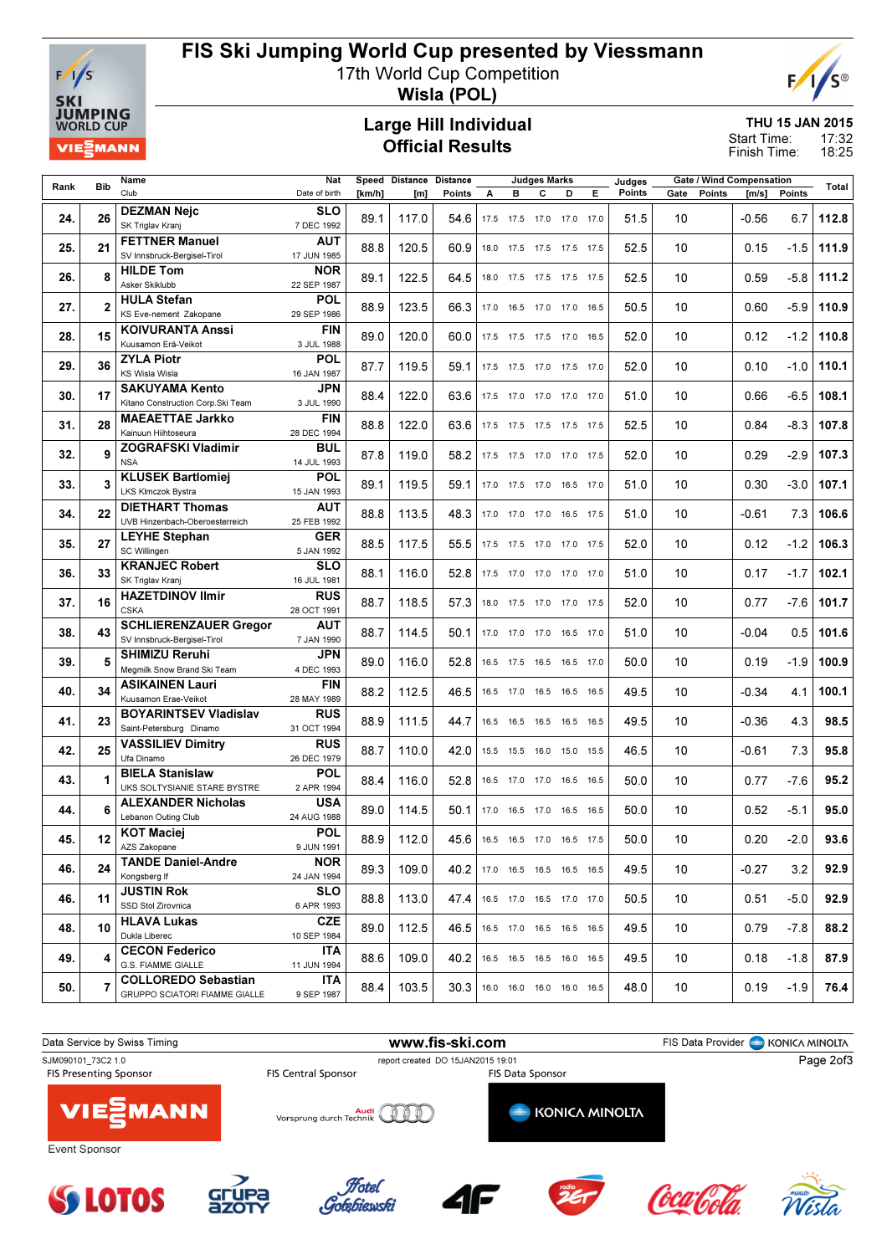

# FIS Ski Jumping World Cup presented by Viessmann

17th World Cup Competition



Wisla (POL)

#### Large Hill Individual Official Results

THU 15 JAN 2015 17:32

18:25 Start Time: Finish Time:

| <b>Bib</b><br>Rank |                | Name                                                        | Nat                      |        | Speed Distance<br><b>Distance</b> |        | <b>Judges Marks</b> |                |   | Judges                       |                              |        | <b>Gate / Wind Compensation</b> |        | Total   |        |       |
|--------------------|----------------|-------------------------------------------------------------|--------------------------|--------|-----------------------------------|--------|---------------------|----------------|---|------------------------------|------------------------------|--------|---------------------------------|--------|---------|--------|-------|
|                    |                | Club                                                        | Date of birth            | [km/h] | [m]                               | Points | A                   | в              | c | D                            | Е.                           | Points | Gate                            | Points | [m/s]   | Points |       |
|                    |                | <b>DEZMAN Nejc</b>                                          | <b>SLO</b>               |        |                                   |        |                     |                |   |                              |                              |        |                                 |        |         |        |       |
| 24.                | 26             | SK Triglav Kranj                                            | 7 DEC 1992               | 89.1   | 117.0                             | 54.6   |                     |                |   | 17.5 17.5 17.0 17.0 17.0     |                              | 51.5   | 10                              |        | $-0.56$ | 6.7    | 112.8 |
|                    |                | <b>FETTNER Manuel</b>                                       | <b>AUT</b>               |        |                                   |        |                     |                |   |                              |                              |        |                                 |        |         |        |       |
| 25.                | 21             | SV Innsbruck-Bergisel-Tirol                                 | 17 JUN 1985              | 88.8   | 120.5                             | 60.9   |                     |                |   | 18.0 17.5 17.5 17.5 17.5     |                              | 52.5   | 10                              |        | 0.15    | $-1.5$ | 111.9 |
|                    |                | <b>HILDE Tom</b>                                            | <b>NOR</b>               |        |                                   |        |                     |                |   |                              |                              |        |                                 |        |         |        |       |
| 26.                | 8              | Asker Skiklubb                                              | 22 SEP 1987              | 89.1   | 122.5                             | 64.5   |                     |                |   | 18.0 17.5 17.5 17.5 17.5     |                              | 52.5   | 10                              |        | 0.59    | $-5.8$ | 111.2 |
|                    |                | <b>HULA Stefan</b>                                          | <b>POL</b>               |        |                                   |        |                     |                |   |                              |                              |        |                                 |        |         |        |       |
| 27.                | $\overline{2}$ | KS Eve-nement Zakopane                                      | 29 SEP 1986              | 88.9   | 123.5                             | 66.3   |                     |                |   | 17.0  16.5  17.0  17.0  16.5 |                              | 50.5   | 10                              |        | 0.60    | $-5.9$ | 110.9 |
|                    |                | <b>KOIVURANTA Anssi</b>                                     | FIN                      |        |                                   |        |                     |                |   |                              |                              |        |                                 |        |         |        |       |
| 28.                | 15             | Kuusamon Erä-Veikot                                         | 3 JUL 1988               | 89.0   | 120.0                             | 60.0   |                     |                |   | 17.5 17.5 17.5 17.0 16.5     |                              | 52.0   | 10                              |        | 0.12    | $-1.2$ | 110.8 |
| 29.                | 36             | <b>ZYLA Piotr</b>                                           | <b>POL</b>               | 87.7   | 119.5                             | 59.1   |                     |                |   |                              |                              | 52.0   | 10                              |        | 0.10    | $-1.0$ | 110.1 |
|                    |                | <b>KS Wisla Wisla</b>                                       | 16 JAN 1987              |        |                                   |        |                     |                |   | 17.5 17.5 17.0 17.5 17.0     |                              |        |                                 |        |         |        |       |
| 30.                | 17             | <b>SAKUYAMA Kento</b>                                       | JPN                      | 88.4   | 122.0                             | 63.6   |                     |                |   | 17.5 17.0 17.0 17.0 17.0     |                              | 51.0   | 10                              |        | 0.66    | $-6.5$ | 108.1 |
|                    |                | Kitano Construction Corp.Ski Team                           | 3 JUL 1990               |        |                                   |        |                     |                |   |                              |                              |        |                                 |        |         |        |       |
| 31.                | 28             | <b>MAEAETTAE Jarkko</b>                                     | <b>FIN</b>               | 88.8   | 122.0                             | 63.6   |                     |                |   | 17.5 17.5 17.5 17.5 17.5     |                              | 52.5   | 10                              |        | 0.84    | $-8.3$ | 107.8 |
|                    |                | Kainuun Hiihtoseura                                         | 28 DEC 1994              |        |                                   |        |                     |                |   |                              |                              |        |                                 |        |         |        |       |
| 32.                | 9              | <b>ZOGRAFSKI Vladimir</b>                                   | <b>BUL</b>               | 87.8   | 119.0                             | 58.2   |                     |                |   | 17.5 17.5 17.0 17.0 17.5     |                              | 52.0   | 10                              |        | 0.29    | $-2.9$ | 107.3 |
|                    |                | <b>NSA</b>                                                  | 14 JUL 1993              |        |                                   |        |                     |                |   |                              |                              |        |                                 |        |         |        |       |
| 33.                | 3              | <b>KLUSEK Bartlomiei</b>                                    | <b>POL</b>               | 89.1   | 119.5                             | 59.1   |                     |                |   | 17.0  17.5  17.0  16.5  17.0 |                              | 51.0   | 10                              |        | 0.30    | $-3.0$ | 107.1 |
|                    |                | LKS Klmczok Bystra                                          | 15 JAN 1993              |        |                                   |        |                     |                |   |                              |                              |        |                                 |        |         |        |       |
| 34.                | 22             | <b>DIETHART Thomas</b>                                      | <b>AUT</b>               | 88.8   | 113.5                             | 48.3   |                     |                |   |                              | 17.0 17.0 17.0 16.5 17.5     | 51.0   | 10                              |        | $-0.61$ | 7.3    | 106.6 |
|                    |                | UVB Hinzenbach-Oberoesterreich                              | 25 FEB 1992              |        |                                   |        |                     |                |   |                              |                              |        |                                 |        |         |        |       |
| 35.                | 27             | <b>LEYHE Stephan</b>                                        | <b>GER</b>               | 88.5   | 117.5                             | 55.5   |                     |                |   | 17.5 17.5 17.0 17.0 17.5     |                              | 52.0   | 10                              |        | 0.12    | $-1.2$ | 106.3 |
|                    |                | SC Willingen                                                | 5 JAN 1992               |        |                                   |        |                     |                |   |                              |                              |        |                                 |        |         |        |       |
| 36.                | 33             | <b>KRANJEC Robert</b>                                       | <b>SLO</b>               | 88.1   | 116.0                             | 52.8   |                     |                |   | 17.5 17.0 17.0 17.0 17.0     |                              | 51.0   | 10                              |        | 0.17    | $-1.7$ | 102.1 |
|                    |                | SK Triglav Kranj                                            | 16 JUL 1981              |        |                                   |        |                     |                |   |                              |                              |        |                                 |        |         |        |       |
| 37.                | 16             | <b>HAZETDINOV Ilmir</b><br><b>CSKA</b>                      | <b>RUS</b>               | 88.7   | 118.5                             | 57.3   |                     |                |   | 18.0  17.5  17.0  17.0  17.5 |                              | 52.0   | 10                              |        | 0.77    | $-7.6$ | 101.7 |
|                    |                |                                                             | 28 OCT 1991              |        |                                   |        |                     |                |   |                              |                              |        |                                 |        |         |        |       |
| 38.                | 43             | <b>SCHLIERENZAUER Gregor</b><br>SV Innsbruck-Bergisel-Tirol | <b>AUT</b><br>7 JAN 1990 | 88.7   | 114.5                             | 50.1   |                     |                |   | 17.0 17.0 17.0 16.5 17.0     |                              | 51.0   | 10                              |        | $-0.04$ | 0.5    | 101.6 |
|                    |                | <b>SHIMIZU Reruhi</b>                                       | JPN                      |        |                                   |        |                     |                |   |                              |                              |        |                                 |        |         |        |       |
| 39.                | 5              | Megmilk Snow Brand Ski Team                                 | 4 DEC 1993               | 89.0   | 116.0                             | 52.8   |                     |                |   | 16.5 17.5 16.5 16.5 17.0     |                              | 50.0   | 10                              |        | 0.19    | $-1.9$ | 100.9 |
|                    |                | <b>ASIKAINEN Lauri</b>                                      | <b>FIN</b>               |        |                                   |        |                     |                |   |                              |                              |        |                                 |        |         |        |       |
| 40.                | 34             | Kuusamon Erae-Veikot                                        | 28 MAY 1989              | 88.2   | 112.5                             | 46.5   |                     |                |   |                              | 16.5 17.0 16.5 16.5 16.5     | 49.5   | 10                              |        | $-0.34$ | 4.1    | 100.1 |
|                    |                | <b>BOYARINTSEV Vladislav</b>                                | <b>RUS</b>               |        |                                   |        |                     |                |   |                              |                              |        |                                 |        |         |        |       |
| 41.                | 23             | Saint-Petersburg Dinamo                                     | 31 OCT 1994              | 88.9   | 111.5                             | 44.7   |                     |                |   | 16.5 16.5 16.5 16.5 16.5     |                              | 49.5   | 10                              |        | $-0.36$ | 4.3    | 98.5  |
|                    |                | <b>VASSILIEV Dimitry</b>                                    | <b>RUS</b>               |        |                                   |        |                     |                |   |                              |                              |        |                                 |        |         |        |       |
| 42.                | 25             | Ufa Dinamo                                                  | 26 DEC 1979              | 88.7   | 110.0                             | 42.0   |                     |                |   | 15.5 15.5 16.0 15.0 15.5     |                              | 46.5   | 10                              |        | $-0.61$ | 7.3    | 95.8  |
|                    |                | <b>BIELA Stanislaw</b>                                      | <b>POL</b>               |        |                                   |        |                     |                |   |                              |                              |        |                                 |        |         |        |       |
| 43.                |                | UKS SOLTYSIANIE STARE BYSTRE                                | 2 APR 1994               | 88.4   | 116.0                             | 52.8   |                     | 16.5 17.0 17.0 |   | 16.5 16.5                    |                              | 50.0   | 10                              |        | 0.77    | $-7.6$ | 95.2  |
| 44.                | 6              | <b>ALEXANDER Nicholas</b>                                   | <b>USA</b>               | 89.0   |                                   | 50.1   |                     |                |   |                              |                              | 50.0   | 10                              |        |         | -5.1   | 95.0  |
|                    |                | Lebanon Outing Club                                         | 24 AUG 1988              |        | 114.5                             |        |                     |                |   |                              | 17.0  16.5  17.0  16.5  16.5 |        |                                 |        | 0.52    |        |       |
| 45.                | 12             | <b>KOT Maciej</b>                                           | <b>POL</b>               | 88.9   | 112.0                             | 45.6   |                     |                |   | 16.5 16.5 17.0 16.5 17.5     |                              | 50.0   | 10                              |        | 0.20    | -2.0   | 93.6  |
|                    |                | AZS Zakopane                                                | 9 JUN 1991               |        |                                   |        |                     |                |   |                              |                              |        |                                 |        |         |        |       |
| 46.                | 24             | <b>TANDE Daniel-Andre</b>                                   | <b>NOR</b>               | 89.3   | 109.0                             | 40.2   |                     |                |   | 17.0  16.5  16.5  16.5  16.5 |                              | 49.5   | 10                              |        | $-0.27$ | 3.2    | 92.9  |
|                    |                | Kongsberg If                                                | 24 JAN 1994              |        |                                   |        |                     |                |   |                              |                              |        |                                 |        |         |        |       |
| 46.                | 11             | <b>JUSTIN Rok</b>                                           | <b>SLO</b>               | 88.8   | 113.0                             | 47.4   |                     |                |   | 16.5 17.0 16.5 17.0 17.0     |                              | 50.5   | 10                              |        | 0.51    | $-5.0$ | 92.9  |
|                    |                | SSD Stol Zirovnica                                          | 6 APR 1993               |        |                                   |        |                     |                |   |                              |                              |        |                                 |        |         |        |       |
| 48.                | 10             | <b>HLAVA Lukas</b>                                          | <b>CZE</b>               | 89.0   | 112.5                             | 46.5   |                     |                |   | 16.5 17.0 16.5 16.5 16.5     |                              | 49.5   | 10                              |        | 0.79    | $-7.8$ | 88.2  |
|                    |                | Dukla Liberec                                               | 10 SEP 1984              |        |                                   |        |                     |                |   |                              |                              |        |                                 |        |         |        |       |
| 49.                | 4              | <b>CECON Federico</b>                                       | ITA                      | 88.6   | 109.0                             | 40.2   |                     |                |   | 16.5 16.5 16.5 16.0 16.5     |                              | 49.5   | 10                              |        | 0.18    | $-1.8$ | 87.9  |
|                    |                | G.S. FIAMME GIALLE                                          | 11 JUN 1994              |        |                                   |        |                     |                |   |                              |                              |        |                                 |        |         |        |       |
| 50.                | 7              | <b>COLLOREDO Sebastian</b>                                  | ITA                      | 88.4   | 103.5                             | 30.3   |                     |                |   | 16.0  16.0  16.0  16.0  16.5 |                              | 48.0   | 10                              |        | 0.19    | -1.9   | 76.4  |
|                    |                | GRUPPO SCIATORI FIAMME GIALLE                               | 9 SEP 1987               |        |                                   |        |                     |                |   |                              |                              |        |                                 |        |         |        |       |